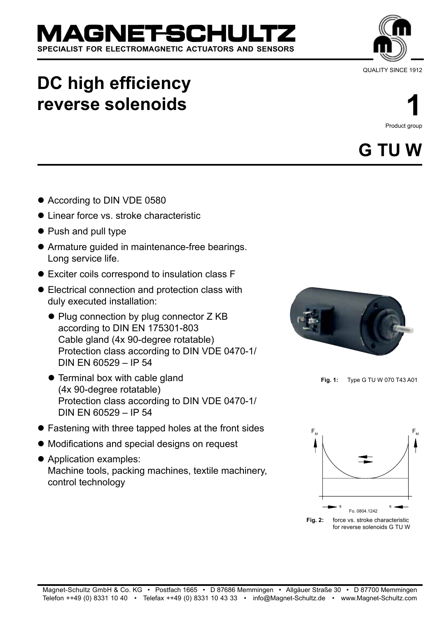# **DC high efficiency reverse solenoids**

**SPECIALIST FOR ELECTROMAGNETIC ACTUATORS AND SENSORS**

AGNET-SCH

- According to DIN VDE 0580
- **Linear force vs. stroke characteristic**
- Push and pull type
- Armature guided in maintenance-free bearings. Long service life.
- Exciter coils correspond to insulation class F
- Electrical connection and protection class with duly executed installation:
	- Plug connection by plug connector Z KB according to DIN EN 175301-803 Cable gland (4x 90-degree rotatable) Protection class according to DIN VDE 0470-1/ DIN EN 60529 – IP 54
	- Terminal box with cable gland (4x 90-degree rotatable) Protection class according to DIN VDE 0470-1/ DIN EN 60529 – IP 54
- Fastening with three tapped holes at the front sides
- Modifications and special designs on request
- Application examples: Machine tools, packing machines, textile machinery, control technology

**1** Product group

# **G Tu w**





**Fig. 1:** Type G TU W 070 T43 A01

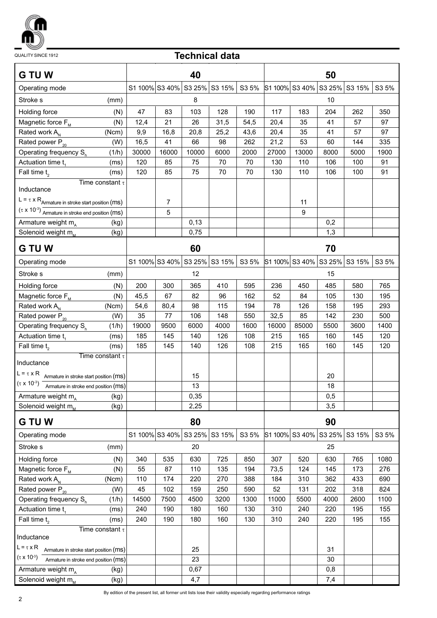

QUALITY SINCE 1912

## **Technical data**

| <b>G TU W</b>                                                   | 40             |                |       |                                    |       | 50                    |                       |      |                              |       |
|-----------------------------------------------------------------|----------------|----------------|-------|------------------------------------|-------|-----------------------|-----------------------|------|------------------------------|-------|
| Operating mode                                                  | S1 100% S3 40% |                |       | S3 25% S3 15%                      | S3 5% | S1 100% S3 40% S3 25% |                       |      | S3 15%                       | S3 5% |
| Stroke s<br>(mm)                                                | 8              |                |       |                                    |       | 10                    |                       |      |                              |       |
| Holding force<br>(N)                                            | 47             | 83             | 103   | 128                                | 190   | 117                   | 183                   | 204  | 262                          | 350   |
| Magnetic force $F_{M}$<br>(N)                                   | 12,4           | 21             | 26    | 31,5                               | 54,5  | 20,4                  | 35                    | 41   | 57                           | 97    |
| Rated work A <sub>N</sub><br>(Ncm)                              | 9,9            | 16,8           | 20,8  | 25,2                               | 43,6  | 20,4                  | 35                    | 41   | 57                           | 97    |
| Rated power $P_{20}$<br>(W)                                     | 16,5           | 41             | 66    | 98                                 | 262   | 21,2                  | 53                    | 60   | 144                          | 335   |
| Operating frequency S <sub>h</sub><br>(1/h)                     | 30000          | 16000          | 10000 | 6000                               | 2000  | 27000                 | 13000                 | 8000 | 5000                         | 1900  |
| Actuation time t.<br>(ms)                                       | 120            | 85             | 75    | 70                                 | 70    | 130                   | 110                   | 106  | 100                          | 91    |
| Fall time $t2$<br>(ms)                                          | 120            | 85             | 75    | 70                                 | 70    | 130                   | 110                   | 106  | 100                          | 91    |
| Time constant $\tau$<br>Inductance                              |                |                |       |                                    |       |                       |                       |      |                              |       |
| $L = \tau \times R$ Armature in stroke start position (ms)      |                | $\overline{7}$ |       |                                    |       |                       | 11                    |      |                              |       |
| $(\tau \times 10^{-3})$ Armature in stroke end position (MS)    |                | 5              |       |                                    |       |                       | 9                     |      |                              |       |
| Armature weight m <sub>A</sub><br>(kg)                          |                |                | 0,13  |                                    |       |                       |                       | 0,2  |                              |       |
| Solenoid weight m <sub>M</sub><br>(kg)                          |                |                | 0,75  |                                    |       |                       |                       | 1,3  |                              |       |
| <b>G TU W</b>                                                   |                |                | 60    |                                    |       |                       |                       | 70   |                              |       |
|                                                                 |                |                |       |                                    |       |                       |                       |      |                              |       |
| Operating mode                                                  |                |                |       | S1 100% S3 40% S3 25% S3 15% S3 5% |       |                       |                       |      | S1 100% S3 40% S3 25% S3 15% | S3 5% |
| Stroke s<br>(mm)                                                |                |                | 12    |                                    |       |                       |                       | 15   |                              |       |
| Holding force<br>(N)                                            | 200            | 300            | 365   | 410                                | 595   | 236                   | 450                   | 485  | 580                          | 765   |
| Magnetic force F <sub>M</sub><br>(N)                            | 45,5           | 67             | 82    | 96                                 | 162   | 52                    | 84                    | 105  | 130                          | 195   |
| Rated work A <sub>N</sub><br>(Ncm)                              | 54,6           | 80,4           | 98    | 115                                | 194   | 78                    | 126                   | 158  | 195                          | 293   |
| Rated power $P_{20}$<br>(W)                                     | 35             | 77             | 106   | 148                                | 550   | 32,5                  | 85                    | 142  | 230                          | 500   |
| Operating frequency $S_h$<br>(1/h)                              | 19000          | 9500           | 6000  | 4000                               | 1600  | 16000                 | 85000                 | 5500 | 3600                         | 1400  |
| Actuation time $t_1$<br>(ms)                                    | 185            | 145            | 140   | 126                                | 108   | 215                   | 165                   | 160  | 145                          | 120   |
| Fall time $t_2$<br>(ms)                                         | 185            | 145            | 140   | 126                                | 108   | 215                   | 165                   | 160  | 145                          | 120   |
| Time constant $\tau$<br>Inductance                              |                |                |       |                                    |       |                       |                       |      |                              |       |
| $L = \tau \times R$<br>Armature in stroke start position (MS)   |                |                | 15    |                                    |       |                       |                       | 20   |                              |       |
| $(\tau \times 10^{-3})$<br>Armature in stroke end position (MS) |                |                | 13    |                                    |       |                       |                       | 18   |                              |       |
| Armature weight m <sub>A</sub><br>(kg)                          |                |                | 0,35  |                                    |       |                       |                       | 0,5  |                              |       |
| Solenoid weight m <sub>M</sub><br>(kg)                          |                |                | 2,25  |                                    |       |                       |                       | 3,5  |                              |       |
|                                                                 |                |                |       |                                    |       |                       |                       |      |                              |       |
| <b>G TU W</b>                                                   |                |                | 80    |                                    |       |                       |                       | 90   |                              |       |
| Operating mode                                                  | S1 100% S3 40% |                |       | S3 25% S3 15%                      | S3 5% |                       | S1 100% S3 40% S3 25% |      | S3 15%                       | S3 5% |
| Stroke s<br>(mm)                                                |                |                | 20    |                                    |       |                       |                       | 25   |                              |       |
| Holding force<br>(N)                                            | 340            | 535            | 630   | 725                                | 850   | 307                   | 520                   | 630  | 765                          | 1080  |
| Magnetic force F <sub>M</sub><br>(N)                            | 55             | 87             | 110   | 135                                | 194   | 73,5                  | 124                   | 145  | 173                          | 276   |
| Rated work A <sub>N</sub><br>(Ncm)                              | 110            | 174            | 220   | 270                                | 388   | 184                   | 310                   | 362  | 433                          | 690   |
| Rated power $P_{20}$<br>(W)                                     | 45             | 102            | 159   | 250                                | 590   | 52                    | 131                   | 202  | 318                          | 824   |
| Operating frequency S <sub>h</sub><br>(1/h)                     | 14500          | 7500           | 4500  | 3200                               | 1300  | 11000                 | 5500                  | 4000 | 2600                         | 1100  |
| Actuation time t <sub>1</sub><br>(ms)                           | 240            | 190            | 180   | 160                                | 130   | 310                   | 240                   | 220  | 195                          | 155   |
| Fall time $t2$<br>(ms)                                          | 240            | 190            | 180   | 160                                | 130   | 310                   | 240                   | 220  | 195                          | 155   |
| Time constant $\tau$<br>Inductance                              |                |                |       |                                    |       |                       |                       |      |                              |       |
| $L = \tau \times R$ Armature in stroke start position (MS)      |                |                | 25    |                                    |       |                       |                       | 31   |                              |       |
| $(\tau \times 10^{-3})$ Armature in stroke end position (MS)    |                |                | 23    |                                    |       |                       |                       | 30   |                              |       |
| Armature weight $m_a$<br>(kg)                                   |                |                | 0,67  |                                    |       |                       |                       | 0,8  |                              |       |
| Solenoid weight $m_{M}$<br>(kg)                                 |                |                | 4,7   |                                    |       |                       |                       | 7,4  |                              |       |

By edition of the present list, all former unit lists lose their validity especially regarding performance ratings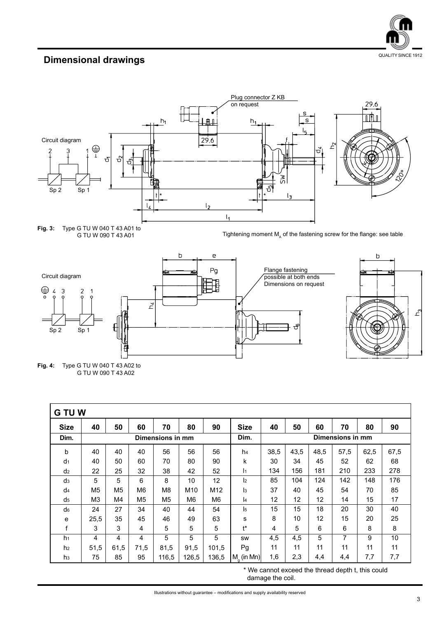

# **Dimensional drawings Dimensional drawings**





**Fig. 4:** Type G TU W 040 T 43 A02 to G TU W 090 T 43 A02

| <b>G TU W</b>  |                  |                |                |                |                 |       |                      |                  |      |      |      |      |      |
|----------------|------------------|----------------|----------------|----------------|-----------------|-------|----------------------|------------------|------|------|------|------|------|
| <b>Size</b>    | 40               | 50             | 60             | 70             | 80              | 90    | <b>Size</b>          | 40               | 50   | 60   | 70   | 80   | 90   |
| Dim.           | Dimensions in mm |                |                |                |                 |       | Dim.                 | Dimensions in mm |      |      |      |      |      |
| b              | 40               | 40             | 40             | 56             | 56              | 56    | h <sub>4</sub>       | 38,5             | 43,5 | 48,5 | 57,5 | 62,5 | 67,5 |
| d <sub>1</sub> | 40               | 50             | 60             | 70             | 80              | 90    | k                    | 30               | 34   | 45   | 52   | 62   | 68   |
| d <sub>2</sub> | 22               | 25             | 32             | 38             | 42              | 52    | ł1                   | 134              | 156  | 181  | 210  | 233  | 278  |
| d <sub>3</sub> | 5                | 5              | 6              | 8              | 10              | 12    | $\mathsf{I}2$        | 85               | 104  | 124  | 142  | 148  | 176  |
| d <sub>4</sub> | M <sub>5</sub>   | M <sub>5</sub> | M <sub>6</sub> | M <sub>8</sub> | M <sub>10</sub> | M12   | l3                   | 37               | 40   | 45   | 54   | 70   | 85   |
| d <sub>5</sub> | M <sub>3</sub>   | M4             | M5             | M <sub>5</sub> | M <sub>6</sub>  | M6    | l4                   | 12               | 12   | 12   | 14   | 15   | 17   |
| d <sub>6</sub> | 24               | 27             | 34             | 40             | 44              | 54    | l5                   | 15               | 15   | 18   | 20   | 30   | 40   |
| е              | 25,5             | 35             | 45             | 46             | 49              | 63    | s                    | 8                | 10   | 12   | 15   | 20   | 25   |
| f              | 3                | 3              | 4              | 5              | 5               | 5     | t*                   | 4                | 5    | 6    | 6    | 8    | 8    |
| h <sub>1</sub> | 4                | 4              | 4              | 5              | 5               | 5     | SW                   | 4,5              | 4,5  | 5    | 7    | 9    | 10   |
| h <sub>2</sub> | 51,5             | 61,5           | 71,5           | 81,5           | 91,5            | 101.5 | Pg                   | 11               | 11   | 11   | 11   | 11   | 11   |
| h <sub>3</sub> | 75               | 85             | 95             | 116,5          | 126,5           | 136,5 | $M_{\alpha}$ (in Mn) | 1,6              | 2,3  | 4,4  | 4,4  | 7,7  | 7,7  |

\* We cannot exceed the thread depth t, this could damage the coil.